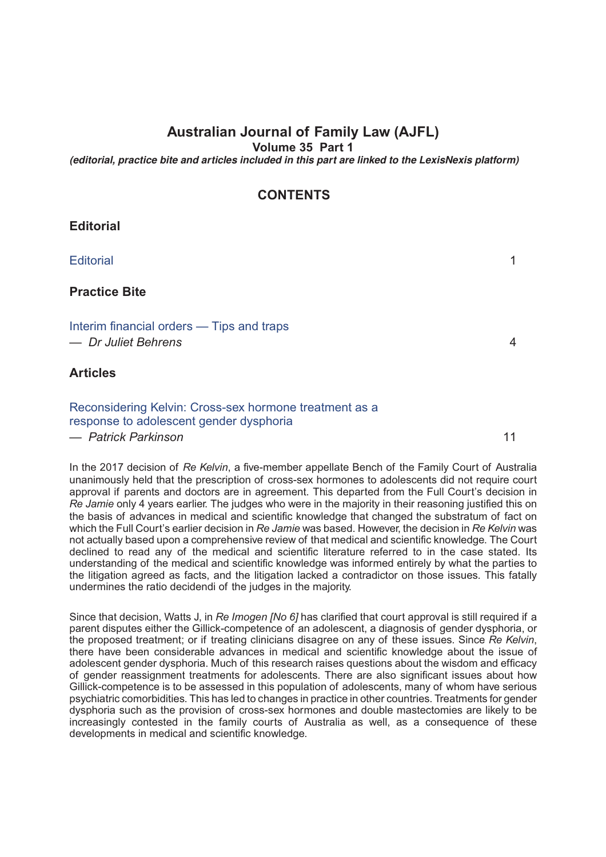# **Australian Journal of Family Law (AJFL)**

**Volume 35 Part 1**

*(editorial, practice bite and articles included in this part are linked to the LexisNexis platform)*

# **CONTENTS**

## **Editorial**

### [Editorial](http://advance.lexis.com/api/document?idtype=DOC-ID&id=005L-35AJFL1) 1

## **Practice Bite**

#### [Interim financial orders — Tips and traps](http://advance.lexis.com/api/document?idtype=DOC-ID&id=005L-35AJFL4) *— Dr Juliet Behrens* 4

#### **Articles**

#### [Reconsidering Kelvin: Cross-sex hormone treatment as a](http://advance.lexis.com/api/document?idtype=DOC-ID&id=005L-35AJFL11) [response to adolescent gender dysphoria](http://advance.lexis.com/api/document?idtype=DOC-ID&id=005L-35AJFL11) *— Patrick Parkinson* 11

In the 2017 decision of *Re Kelvin*, a five-member appellate Bench of the Family Court of Australia unanimously held that the prescription of cross-sex hormones to adolescents did not require court approval if parents and doctors are in agreement. This departed from the Full Court's decision in *Re Jamie* only 4 years earlier. The judges who were in the majority in their reasoning justified this on the basis of advances in medical and scientific knowledge that changed the substratum of fact on which the Full Court's earlier decision in *Re Jamie* was based. However, the decision in *Re Kelvin* was not actually based upon a comprehensive review of that medical and scientific knowledge. The Court declined to read any of the medical and scientific literature referred to in the case stated. Its

understanding of the medical and scientific knowledge was informed entirely by what the parties to the litigation agreed as facts, and the litigation lacked a contradictor on those issues. This fatally undermines the ratio decidendi of the judges in the majority.

Since that decision, Watts J, in *Re Imogen [No 6]* has clarified that court approval is still required if a parent disputes either the Gillick-competence of an adolescent, a diagnosis of gender dysphoria, or the proposed treatment; or if treating clinicians disagree on any of these issues. Since *Re Kelvin*, there have been considerable advances in medical and scientific knowledge about the issue of adolescent gender dysphoria. Much of this research raises questions about the wisdom and efficacy of gender reassignment treatments for adolescents. There are also significant issues about how Gillick-competence is to be assessed in this population of adolescents, many of whom have serious psychiatric comorbidities. This has led to changes in practice in other countries. Treatments for gender dysphoria such as the provision of cross-sex hormones and double mastectomies are likely to be increasingly contested in the family courts of Australia as well, as a consequence of these developments in medical and scientific knowledge.